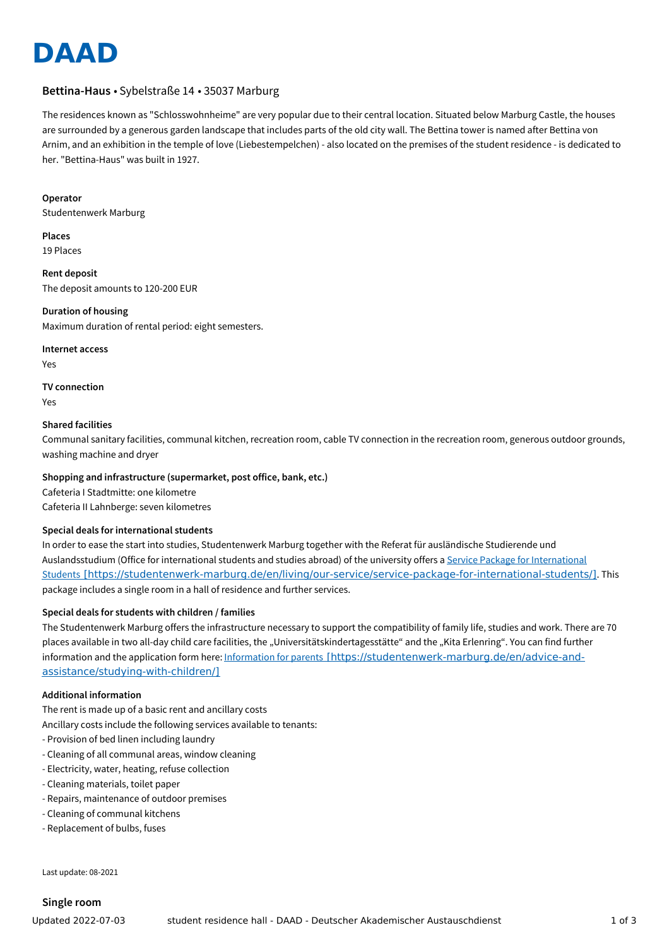

# **Bettina-Haus** • Sybelstraße 14 • 35037 Marburg

The residences known as "Schlosswohnheime" are very popular due to their central location. Situated below Marburg Castle, the houses are surrounded by a generous garden landscape that includes parts of the old city wall. The Bettina tower is named after Bettina von Arnim, and an exhibition in the temple of love (Liebestempelchen) - also located on the premises of the student residence - is dedicated to her. "Bettina-Haus" was built in 1927.

#### **Operator**

Studentenwerk Marburg

**Places** 19 Places

**Rent deposit** The deposit amounts to 120-200 EUR

**Duration of housing** Maximum duration of rental period: eight semesters.

#### **Internet access**

Yes

# **TV connection**

Yes

## **Shared facilities**

Communal sanitary facilities, communal kitchen, recreation room, cable TV connection in the recreation room, generous outdoor grounds, washing machine and dryer

## **Shopping and infrastructure (supermarket, post office, bank, etc.)**

Cafeteria I Stadtmitte: one kilometre Cafeteria II Lahnberge: seven kilometres

# **Special deals for international students**

In order to ease the start into studies, Studentenwerk Marburg together with the Referat für ausländische Studierende und Auslandsstudium (Office for international students and studies abroad) of the university offers a Service Package for International Students [\[https://studentenwerk-marburg.de/en/living/our-service/service-package-for-international-students/\]](https://studentenwerk-marburg.de/en/living/our-service/service-package-for-international-students/). This package includes a single room in a hall of residence and further services.

## **Special deals for students with children / families**

The Studentenwerk Marburg offers the infrastructure necessary to support the compatibility of family life, studies and work. There are 70 places available in two all-day child care facilities, the "Universitätskindertagesstätte" and the "Kita Erlenring". You can find further information and the application form here: Information for parents [\[https://studentenwerk-marburg.de/en/advice-and](https://studentenwerk-marburg.de/en/advice-and-assistance/studying-with-children/)assistance/studying-with-children/]

## **Additional information**

The rent is made up of a basic rent and ancillary costs

Ancillary costs include the following services available to tenants:

- Provision of bed linen including laundry
- Cleaning of all communal areas, window cleaning
- Electricity, water, heating, refuse collection
- Cleaning materials, toilet paper
- Repairs, maintenance of outdoor premises
- Cleaning of communal kitchens
- Replacement of bulbs, fuses

Last update: 08-2021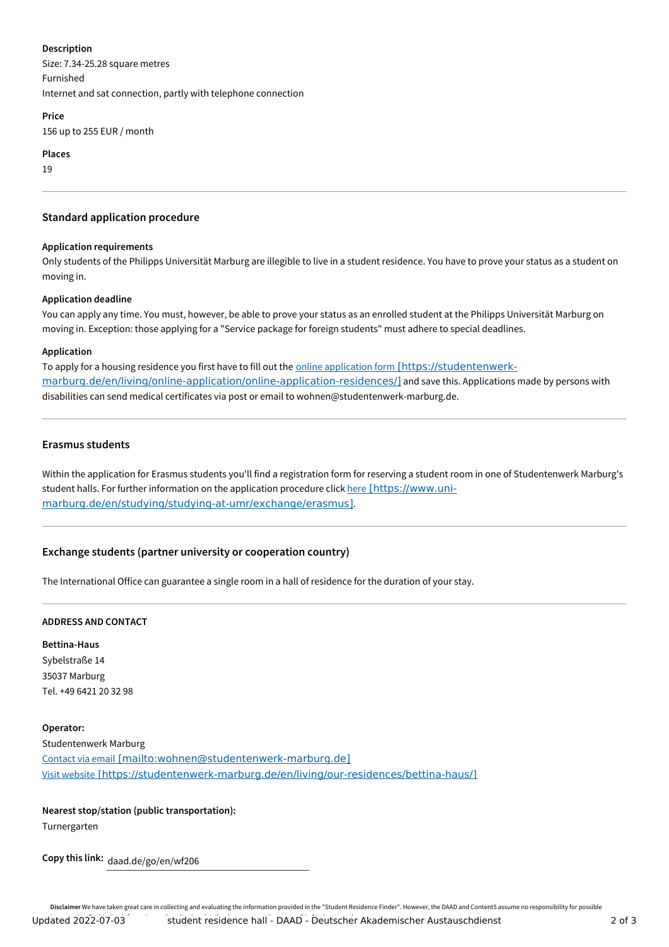### **Description**

Size: 7.34-25.28 square metres Furnished Internet and sat connection, partly with telephone connection

#### **Price**

156 up to 255 EUR / month

**Places**

19

## **Standard application procedure**

## **Application requirements**

Only students of the Philipps Universität Marburg are illegible to live in a student residence. You have to prove your status as a student on moving in.

## **Application deadline**

You can apply any time. You must, however, be able to prove your status as an enrolled student at the Philipps Universität Marburg on moving in. Exception: those applying for a "Service package for foreign students" must adhere to special deadlines.

## **Application**

To apply for a housing residence you first have to fill out the online application form [https://studentenwerk[marburg.de/en/living/online-application/online-application-residences/\]](https://studentenwerk-marburg.de/en/living/online-application/online-application-residences/) and save this. Applications made by persons with disabilities can send medical certificates via post or email to wohnen@studentenwerk-marburg.de.

## **Erasmus students**

Within the application for Erasmus students you'll find a registration form for reserving a student room in one of Studentenwerk Marburg's student halls. For further information on the application procedure click here [https://www.uni[marburg.de/en/studying/studying-at-umr/exchange/erasmus\]](https://www.uni-marburg.de/en/studying/studying-at-umr/exchange/erasmus).

# **Exchange students (partner university or cooperation country)**

The International Office can guarantee a single room in a hall of residence for the duration of your stay.

## **ADDRESS AND CONTACT**

**Bettina-Haus** Sybelstraße 14 35037 Marburg Tel. +49 6421 20 32 98

## **Operator:**

Studentenwerk Marburg Contact via email [\[mailto:wohnen@studentenwerk-marburg.de\]](mailto:wohnen@studentenwerk-marburg.de) Visit website [\[https://studentenwerk-marburg.de/en/living/our-residences/bettina-haus/\]](https://studentenwerk-marburg.de/en/living/our-residences/bettina-haus/)

# **Nearest stop/station (public transportation):**

Turnergarten

**Copy this link:** daad.de/go/en/wf206